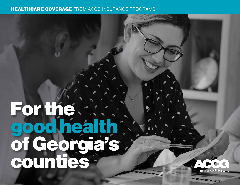#### HEALTHCARE COVERAGE FROM ACCG INSURANCE PROGRAMS

## For the. good health of Georgia's counties<sup>:</sup>

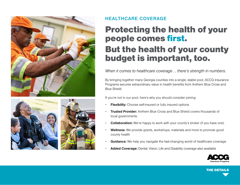





#### **HEALTHCARE COVERAGE**

### Protecting the health of your people comes first. But the health of your county budget is important, too.

*When it comes to healthcare coverage … there's strength in numbers.*

By bringing together many Georgia counties into a single, stable pool, ACCG Insurance Programs secures extraordinary value in health benefits from Anthem Blue Cross and Blue Shield.

If you're not in our pool, here's why you should consider joining:

- **Flexibility:** Choose self-insured or fully insured options
- **Trusted Provider:** Anthem Blue Cross and Blue Shield covers thousands of local governments
- **Collaboration:** We're happy to work with your county's broker (if you have one)
- **Wellness:** We provide grants, workshops, materials and more to promote good county health
- **Guidance:** We help you navigate the fast-changing world of healthcare coverage
- **Added Coverage:** Dental, Vision, Life and Disability coverage also available



THE DETAILS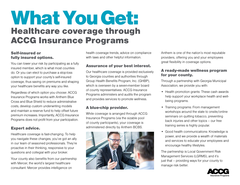### What You Get: Healthcare coverage through ACCG Insurance Programs

#### Self-insured or fully insured options.

You can lower your risk by participating as a fully insured member, which is what most counties do. Or you can elect to purchase a stop-loss option to support your county's self-insured coverage, thus saving on premiums and shaping your healthcare benefits any way you like.

Regardless of which option you choose: ACCG Insurance Programs works with Anthem Blue Cross and Blue Shield to reduce administrative costs, develop custom underwriting models and maintain a reserve fund to help offset future premium increases. Importantly, ACCG Insurance Programs does not profit from your participation.

#### Expert advice.

Healthcare coverage is fast-changing. To help you navigate these changes, you've got an ally in our team of seasoned professionals. They're proactive in their thinking, responsive to your questions and collegial with your broker.

Your county also benefits from our partnership with Mercer, the world's largest healthcare consultant. Mercer provides intelligence on

health coverage trends, advice on compliance with laws and other helpful information.

#### Assurance of your best interest.

Our healthcare coverage is provided exclusively to Georgia counties and authorities through Group Health Benefits Program, Inc. (GHBP), which is overseen by a seven-member board of county representatives. ACCG Insurance Programs administers and audits the program and provides services to promote wellness.

#### A blue-chip provider.

While coverage is arranged through ACCG Insurance Programs (via the sizable pool of county participants), your coverage is administered directly by Anthem BCBS.



Anthem is one of the nation's most reputable providers, offering you and your employees great flexibility in coverage options.

#### A ready-made wellness program for your county.

Through a partnership with Georgia Municipal Association, we provide you with:

- Health promotion grants: These cash awards help support your workplace health and wellbeing programs.
- Training programs: From management workshops around the state to onsite/online seminars on quitting tobacco, preventing back injuries and other topics – our free training series is highly popular.
- Good health communications: Knowledge is power, and we provide a wealth of materials and services to educate your employees and encourage healthy lifestyles.

The partnership is Local Government Risk Management Services (LGRMS), and it's just that – providing ways for your county to manage risk better.